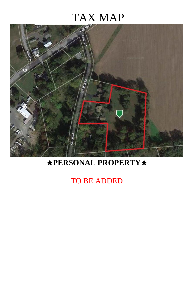# TAX MAP



### ★**PERSONAL PROPERTY**★

#### TO BE ADDED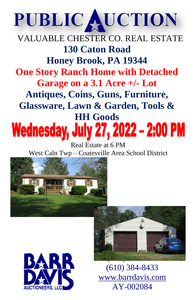## PUBLIC AUCTION

### VALUABLE CHESTER CO. REAL ESTATE **130 Caton Road Honey Brook, PA 19344 One Story Ranch Home with Detached Garage on a 3.1 Acre +/- Lot Antiques, Coins, Guns, Furniture, Glassware, Lawn & Garden, Tools & HH Goods Wednesday, July 27, 2022 - 2:00 PM**

Real Estate at 6 PM West Caln Twp – Coatesville Area School District







(610) 384-8433 [www.barrdavis.com](http://www.barrdavis.com/) AY-002084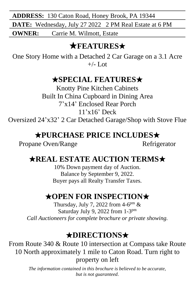**ADDRESS:** 130 Caton Road, Honey Brook, PA 19344

**DATE:** Wednesday, July 27 2022 2 PM Real Estate at 6 PM

**OWNER:** Carrie M. Wilmott, Estate

#### **★FEATURES★**

One Story Home with a Detached 2 Car Garage on a 3.1 Acre  $+/-$  Lot

#### ★**SPECIAL FEATURES**★

Knotty Pine Kitchen Cabinets Built In China Cupboard in Dining Area 7'x14' Enclosed Rear Porch 11'x16' Deck

Oversized 24'x32' 2 Car Detached Garage/Shop with Stove Flue

#### ★**PURCHASE PRICE INCLUDES**★

Propane Oven/Range Refrigerator

#### ★**REAL ESTATE AUCTION TERMS**★

10% Down payment day of Auction. Balance by September 9, 2022. Buyer pays all Realty Transfer Taxes.

#### ★**OPEN FOR INSPECTION**★

Thursday, July 7, 2022 from  $4-6^{pm}$  & Saturday July 9, 2022 from 1-3<sup>pm</sup> *Call Auctioneers for complete brochure or private showing.*

#### ★**DIRECTIONS**★

From Route 340 & Route 10 intersection at Compass take Route 10 North approximately 1 mile to Caton Road. Turn right to property on left

> *The information contained in this brochure is believed to be accurate, but is not guaranteed*.